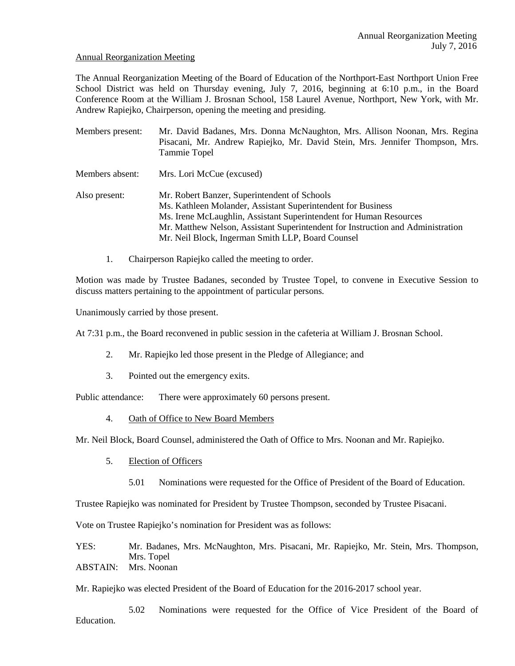### Annual Reorganization Meeting

The Annual Reorganization Meeting of the Board of Education of the Northport-East Northport Union Free School District was held on Thursday evening, July 7, 2016, beginning at 6:10 p.m., in the Board Conference Room at the William J. Brosnan School, 158 Laurel Avenue, Northport, New York, with Mr. Andrew Rapiejko, Chairperson, opening the meeting and presiding.

| Members present: | Mr. David Badanes, Mrs. Donna McNaughton, Mrs. Allison Noonan, Mrs. Regina<br>Pisacani, Mr. Andrew Rapiejko, Mr. David Stein, Mrs. Jennifer Thompson, Mrs.<br>Tammie Topel                                                                                                                                                 |
|------------------|----------------------------------------------------------------------------------------------------------------------------------------------------------------------------------------------------------------------------------------------------------------------------------------------------------------------------|
| Members absent:  | Mrs. Lori McCue (excused)                                                                                                                                                                                                                                                                                                  |
| Also present:    | Mr. Robert Banzer, Superintendent of Schools<br>Ms. Kathleen Molander, Assistant Superintendent for Business<br>Ms. Irene McLaughlin, Assistant Superintendent for Human Resources<br>Mr. Matthew Nelson, Assistant Superintendent for Instruction and Administration<br>Mr. Neil Block, Ingerman Smith LLP, Board Counsel |

1. Chairperson Rapiejko called the meeting to order.

Motion was made by Trustee Badanes, seconded by Trustee Topel, to convene in Executive Session to discuss matters pertaining to the appointment of particular persons.

Unanimously carried by those present.

At 7:31 p.m., the Board reconvened in public session in the cafeteria at William J. Brosnan School.

- 2. Mr. Rapiejko led those present in the Pledge of Allegiance; and
- 3. Pointed out the emergency exits.

Public attendance: There were approximately 60 persons present.

4. Oath of Office to New Board Members

Mr. Neil Block, Board Counsel, administered the Oath of Office to Mrs. Noonan and Mr. Rapiejko.

- 5. Election of Officers
	- 5.01 Nominations were requested for the Office of President of the Board of Education.

Trustee Rapiejko was nominated for President by Trustee Thompson, seconded by Trustee Pisacani.

Vote on Trustee Rapiejko's nomination for President was as follows:

YES: Mr. Badanes, Mrs. McNaughton, Mrs. Pisacani, Mr. Rapiejko, Mr. Stein, Mrs. Thompson, Mrs. Topel

ABSTAIN: Mrs. Noonan

Mr. Rapiejko was elected President of the Board of Education for the 2016-2017 school year.

 5.02 Nominations were requested for the Office of Vice President of the Board of Education.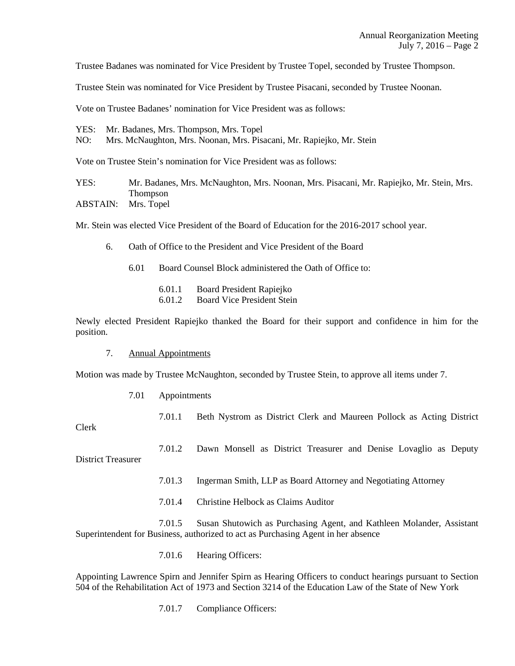Trustee Badanes was nominated for Vice President by Trustee Topel, seconded by Trustee Thompson.

Trustee Stein was nominated for Vice President by Trustee Pisacani, seconded by Trustee Noonan.

Vote on Trustee Badanes' nomination for Vice President was as follows:

YES: Mr. Badanes, Mrs. Thompson, Mrs. Topel NO: Mrs. McNaughton, Mrs. Noonan, Mrs. Pisacani, Mr. Rapiejko, Mr. Stein

Vote on Trustee Stein's nomination for Vice President was as follows:

YES: Mr. Badanes, Mrs. McNaughton, Mrs. Noonan, Mrs. Pisacani, Mr. Rapiejko, Mr. Stein, Mrs. Thompson ABSTAIN: Mrs. Topel

Mr. Stein was elected Vice President of the Board of Education for the 2016-2017 school year.

- 6. Oath of Office to the President and Vice President of the Board
	- 6.01 Board Counsel Block administered the Oath of Office to:
		- 6.01.1 Board President Rapiejko
		- 6.01.2 Board Vice President Stein

Newly elected President Rapiejko thanked the Board for their support and confidence in him for the position.

7. Annual Appointments

Motion was made by Trustee McNaughton, seconded by Trustee Stein, to approve all items under 7.

7.01 Appointments

| Clerk              | 7.01.1 | Beth Nystrom as District Clerk and Maureen Pollock as Acting District   |
|--------------------|--------|-------------------------------------------------------------------------|
| District Treasurer |        | 7.01.2 Dawn Monsell as District Treasurer and Denise Lovaglio as Deputy |

District Treasurer

7.01.3 Ingerman Smith, LLP as Board Attorney and Negotiating Attorney

7.01.4 Christine Helbock as Claims Auditor

 7.01.5 Susan Shutowich as Purchasing Agent, and Kathleen Molander, Assistant Superintendent for Business, authorized to act as Purchasing Agent in her absence

7.01.6 Hearing Officers:

Appointing Lawrence Spirn and Jennifer Spirn as Hearing Officers to conduct hearings pursuant to Section 504 of the Rehabilitation Act of 1973 and Section 3214 of the Education Law of the State of New York

7.01.7 Compliance Officers: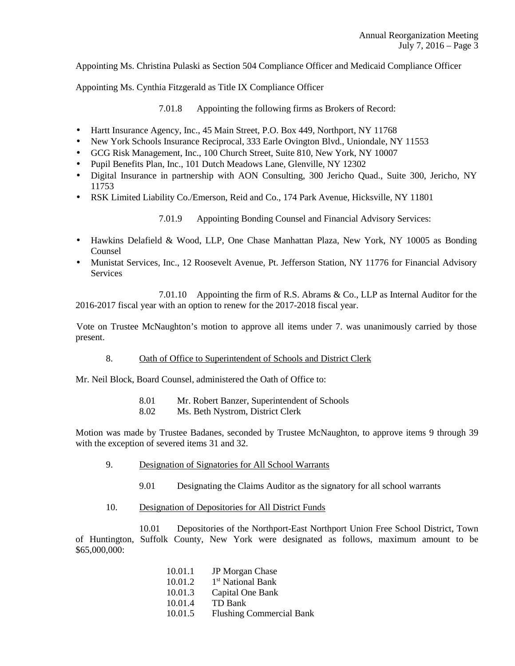Appointing Ms. Christina Pulaski as Section 504 Compliance Officer and Medicaid Compliance Officer

Appointing Ms. Cynthia Fitzgerald as Title IX Compliance Officer

7.01.8 Appointing the following firms as Brokers of Record:

- Hartt Insurance Agency, Inc., 45 Main Street, P.O. Box 449, Northport, NY 11768
- New York Schools Insurance Reciprocal, 333 Earle Ovington Blvd., Uniondale, NY 11553
- GCG Risk Management, Inc., 100 Church Street, Suite 810, New York, NY 10007
- Pupil Benefits Plan, Inc., 101 Dutch Meadows Lane, Glenville, NY 12302
- Digital Insurance in partnership with AON Consulting, 300 Jericho Quad., Suite 300, Jericho, NY 11753
- RSK Limited Liability Co./Emerson, Reid and Co., 174 Park Avenue, Hicksville, NY 11801

7.01.9 Appointing Bonding Counsel and Financial Advisory Services:

- Hawkins Delafield & Wood, LLP, One Chase Manhattan Plaza, New York, NY 10005 as Bonding Counsel
- Munistat Services, Inc., 12 Roosevelt Avenue, Pt. Jefferson Station, NY 11776 for Financial Advisory Services

 7.01.10 Appointing the firm of R.S. Abrams & Co., LLP as Internal Auditor for the 2016-2017 fiscal year with an option to renew for the 2017-2018 fiscal year.

 Vote on Trustee McNaughton's motion to approve all items under 7. was unanimously carried by those present.

8. Oath of Office to Superintendent of Schools and District Clerk

Mr. Neil Block, Board Counsel, administered the Oath of Office to:

- 8.01 Mr. Robert Banzer, Superintendent of Schools
- 8.02 Ms. Beth Nystrom, District Clerk

Motion was made by Trustee Badanes, seconded by Trustee McNaughton, to approve items 9 through 39 with the exception of severed items 31 and 32.

- 9. Designation of Signatories for All School Warrants
	- 9.01 Designating the Claims Auditor as the signatory for all school warrants
- 10. Designation of Depositories for All District Funds

 10.01 Depositories of the Northport-East Northport Union Free School District, Town of Huntington, Suffolk County, New York were designated as follows, maximum amount to be \$65,000,000:

| 10.01.1 | JP Morgan Chase                 |
|---------|---------------------------------|
| 10.01.2 | 1 <sup>st</sup> National Bank   |
| 10.01.3 | Capital One Bank                |
| 10.01.4 | TD Bank                         |
| 10.01.5 | <b>Flushing Commercial Bank</b> |
|         |                                 |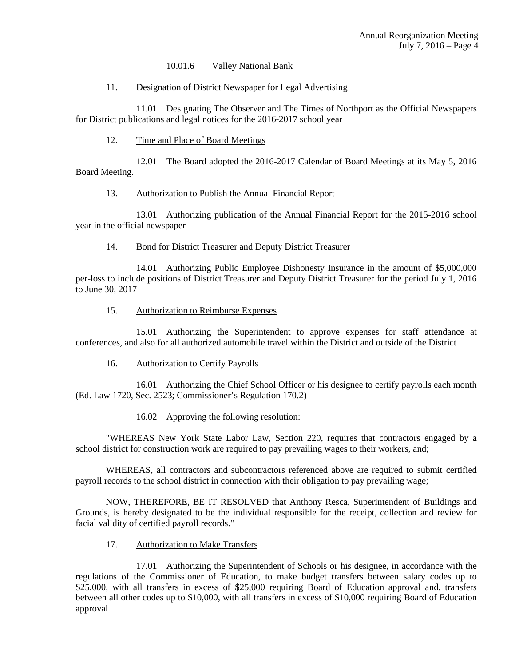### 10.01.6 Valley National Bank

#### 11. Designation of District Newspaper for Legal Advertising

 11.01 Designating The Observer and The Times of Northport as the Official Newspapers for District publications and legal notices for the 2016-2017 school year

### 12. Time and Place of Board Meetings

 12.01 The Board adopted the 2016-2017 Calendar of Board Meetings at its May 5, 2016 Board Meeting.

### 13. Authorization to Publish the Annual Financial Report

 13.01 Authorizing publication of the Annual Financial Report for the 2015-2016 school year in the official newspaper

### 14. Bond for District Treasurer and Deputy District Treasurer

 14.01 Authorizing Public Employee Dishonesty Insurance in the amount of \$5,000,000 per-loss to include positions of District Treasurer and Deputy District Treasurer for the period July 1, 2016 to June 30, 2017

### 15. Authorization to Reimburse Expenses

 15.01 Authorizing the Superintendent to approve expenses for staff attendance at conferences, and also for all authorized automobile travel within the District and outside of the District

## 16. Authorization to Certify Payrolls

 16.01 Authorizing the Chief School Officer or his designee to certify payrolls each month (Ed. Law 1720, Sec. 2523; Commissioner's Regulation 170.2)

16.02 Approving the following resolution:

 "WHEREAS New York State Labor Law, Section 220, requires that contractors engaged by a school district for construction work are required to pay prevailing wages to their workers, and;

 WHEREAS, all contractors and subcontractors referenced above are required to submit certified payroll records to the school district in connection with their obligation to pay prevailing wage;

 NOW, THEREFORE, BE IT RESOLVED that Anthony Resca, Superintendent of Buildings and Grounds, is hereby designated to be the individual responsible for the receipt, collection and review for facial validity of certified payroll records."

## 17. Authorization to Make Transfers

 17.01 Authorizing the Superintendent of Schools or his designee, in accordance with the regulations of the Commissioner of Education, to make budget transfers between salary codes up to \$25,000, with all transfers in excess of \$25,000 requiring Board of Education approval and, transfers between all other codes up to \$10,000, with all transfers in excess of \$10,000 requiring Board of Education approval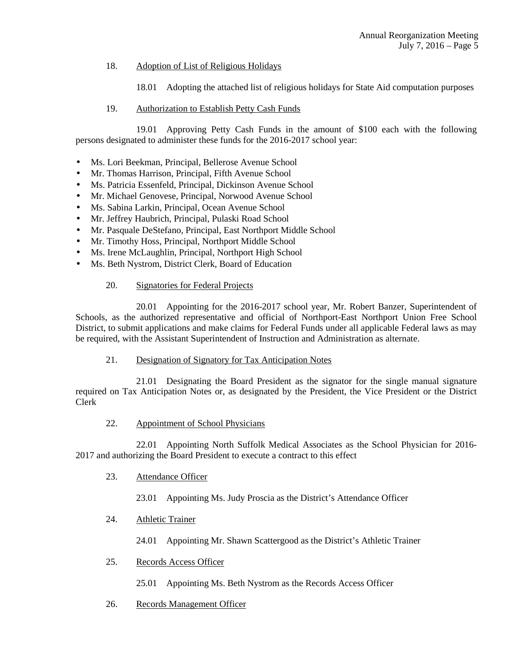# 18. Adoption of List of Religious Holidays

18.01 Adopting the attached list of religious holidays for State Aid computation purposes

# 19. Authorization to Establish Petty Cash Funds

 19.01 Approving Petty Cash Funds in the amount of \$100 each with the following persons designated to administer these funds for the 2016-2017 school year:

- Ms. Lori Beekman, Principal, Bellerose Avenue School
- Mr. Thomas Harrison, Principal, Fifth Avenue School
- Ms. Patricia Essenfeld, Principal, Dickinson Avenue School
- Mr. Michael Genovese, Principal, Norwood Avenue School
- Ms. Sabina Larkin, Principal, Ocean Avenue School
- Mr. Jeffrey Haubrich, Principal, Pulaski Road School
- Mr. Pasquale DeStefano, Principal, East Northport Middle School
- Mr. Timothy Hoss, Principal, Northport Middle School
- Ms. Irene McLaughlin, Principal, Northport High School
- Ms. Beth Nystrom, District Clerk, Board of Education

## 20. Signatories for Federal Projects

 20.01 Appointing for the 2016-2017 school year, Mr. Robert Banzer, Superintendent of Schools, as the authorized representative and official of Northport-East Northport Union Free School District, to submit applications and make claims for Federal Funds under all applicable Federal laws as may be required, with the Assistant Superintendent of Instruction and Administration as alternate.

21. Designation of Signatory for Tax Anticipation Notes

 21.01 Designating the Board President as the signator for the single manual signature required on Tax Anticipation Notes or, as designated by the President, the Vice President or the District Clerk

# 22. Appointment of School Physicians

 22.01 Appointing North Suffolk Medical Associates as the School Physician for 2016- 2017 and authorizing the Board President to execute a contract to this effect

- 23. Attendance Officer
	- 23.01 Appointing Ms. Judy Proscia as the District's Attendance Officer

# 24. Athletic Trainer

24.01 Appointing Mr. Shawn Scattergood as the District's Athletic Trainer

## 25. Records Access Officer

25.01 Appointing Ms. Beth Nystrom as the Records Access Officer

26. Records Management Officer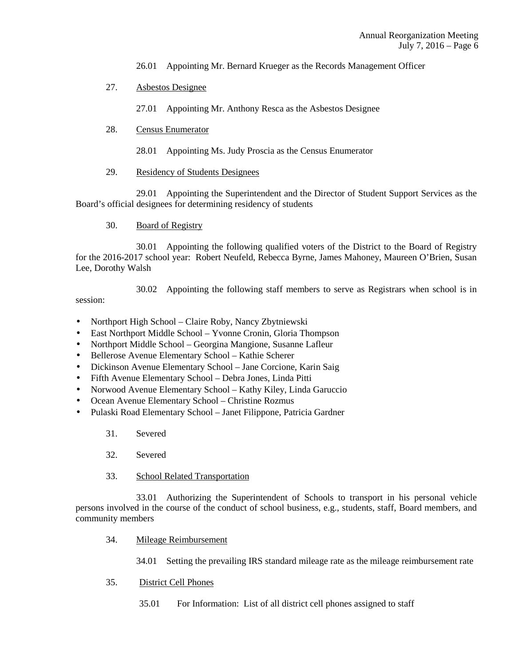- 26.01 Appointing Mr. Bernard Krueger as the Records Management Officer
- 27. Asbestos Designee
	- 27.01 Appointing Mr. Anthony Resca as the Asbestos Designee
- 28. Census Enumerator
	- 28.01 Appointing Ms. Judy Proscia as the Census Enumerator
- 29. Residency of Students Designees

 29.01 Appointing the Superintendent and the Director of Student Support Services as the Board's official designees for determining residency of students

30. Board of Registry

 30.01 Appointing the following qualified voters of the District to the Board of Registry for the 2016-2017 school year: Robert Neufeld, Rebecca Byrne, James Mahoney, Maureen O'Brien, Susan Lee, Dorothy Walsh

30.02 Appointing the following staff members to serve as Registrars when school is in

session:

- Northport High School Claire Roby, Nancy Zbytniewski
- East Northport Middle School Yvonne Cronin, Gloria Thompson
- Northport Middle School Georgina Mangione, Susanne Lafleur
- Bellerose Avenue Elementary School Kathie Scherer
- Dickinson Avenue Elementary School Jane Corcione, Karin Saig
- Fifth Avenue Elementary School Debra Jones, Linda Pitti
- Norwood Avenue Elementary School Kathy Kiley, Linda Garuccio
- Ocean Avenue Elementary School Christine Rozmus
- Pulaski Road Elementary School Janet Filippone, Patricia Gardner
	- 31. Severed
	- 32. Severed
	- 33. School Related Transportation

 33.01 Authorizing the Superintendent of Schools to transport in his personal vehicle persons involved in the course of the conduct of school business, e.g., students, staff, Board members, and community members

34. Mileage Reimbursement

34.01 Setting the prevailing IRS standard mileage rate as the mileage reimbursement rate

- 35. District Cell Phones
	- 35.01 For Information: List of all district cell phones assigned to staff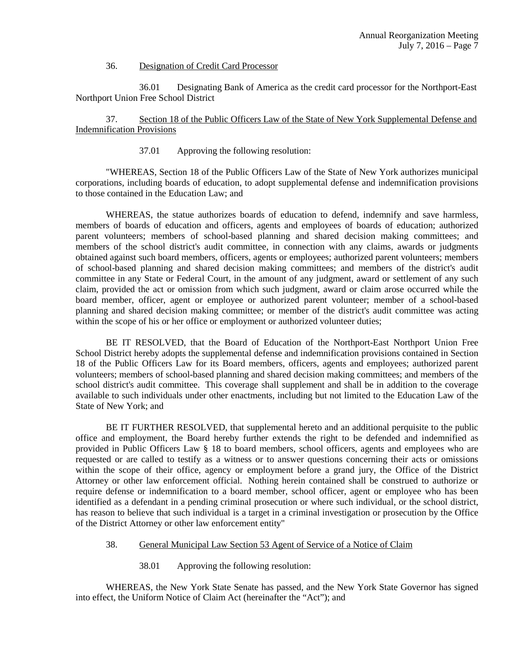#### 36. Designation of Credit Card Processor

 36.01 Designating Bank of America as the credit card processor for the Northport-East Northport Union Free School District

# 37. Section 18 of the Public Officers Law of the State of New York Supplemental Defense and Indemnification Provisions

37.01 Approving the following resolution:

"WHEREAS, Section 18 of the Public Officers Law of the State of New York authorizes municipal corporations, including boards of education, to adopt supplemental defense and indemnification provisions to those contained in the Education Law; and

WHEREAS, the statue authorizes boards of education to defend, indemnify and save harmless, members of boards of education and officers, agents and employees of boards of education; authorized parent volunteers; members of school-based planning and shared decision making committees; and members of the school district's audit committee, in connection with any claims, awards or judgments obtained against such board members, officers, agents or employees; authorized parent volunteers; members of school-based planning and shared decision making committees; and members of the district's audit committee in any State or Federal Court, in the amount of any judgment, award or settlement of any such claim, provided the act or omission from which such judgment, award or claim arose occurred while the board member, officer, agent or employee or authorized parent volunteer; member of a school-based planning and shared decision making committee; or member of the district's audit committee was acting within the scope of his or her office or employment or authorized volunteer duties;

BE IT RESOLVED, that the Board of Education of the Northport-East Northport Union Free School District hereby adopts the supplemental defense and indemnification provisions contained in Section 18 of the Public Officers Law for its Board members, officers, agents and employees; authorized parent volunteers; members of school-based planning and shared decision making committees; and members of the school district's audit committee. This coverage shall supplement and shall be in addition to the coverage available to such individuals under other enactments, including but not limited to the Education Law of the State of New York; and

BE IT FURTHER RESOLVED, that supplemental hereto and an additional perquisite to the public office and employment, the Board hereby further extends the right to be defended and indemnified as provided in Public Officers Law § 18 to board members, school officers, agents and employees who are requested or are called to testify as a witness or to answer questions concerning their acts or omissions within the scope of their office, agency or employment before a grand jury, the Office of the District Attorney or other law enforcement official. Nothing herein contained shall be construed to authorize or require defense or indemnification to a board member, school officer, agent or employee who has been identified as a defendant in a pending criminal prosecution or where such individual, or the school district, has reason to believe that such individual is a target in a criminal investigation or prosecution by the Office of the District Attorney or other law enforcement entity"

- 38. General Municipal Law Section 53 Agent of Service of a Notice of Claim
	- 38.01 Approving the following resolution:

WHEREAS, the New York State Senate has passed, and the New York State Governor has signed into effect, the Uniform Notice of Claim Act (hereinafter the "Act"); and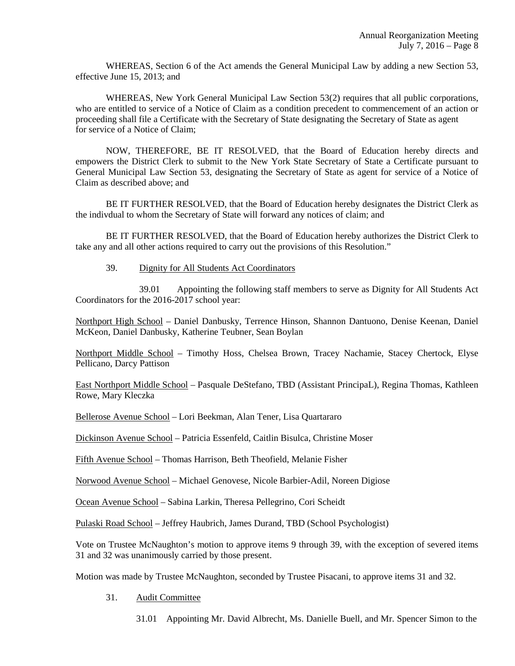WHEREAS, Section 6 of the Act amends the General Municipal Law by adding a new Section 53, effective June 15, 2013; and

WHEREAS, New York General Municipal Law Section 53(2) requires that all public corporations, who are entitled to service of a Notice of Claim as a condition precedent to commencement of an action or proceeding shall file a Certificate with the Secretary of State designating the Secretary of State as agent for service of a Notice of Claim;

NOW, THEREFORE, BE IT RESOLVED, that the Board of Education hereby directs and empowers the District Clerk to submit to the New York State Secretary of State a Certificate pursuant to General Municipal Law Section 53, designating the Secretary of State as agent for service of a Notice of Claim as described above; and

BE IT FURTHER RESOLVED, that the Board of Education hereby designates the District Clerk as the indivdual to whom the Secretary of State will forward any notices of claim; and

BE IT FURTHER RESOLVED, that the Board of Education hereby authorizes the District Clerk to take any and all other actions required to carry out the provisions of this Resolution."

# 39. Dignity for All Students Act Coordinators

 39.01 Appointing the following staff members to serve as Dignity for All Students Act Coordinators for the 2016-2017 school year:

Northport High School – Daniel Danbusky, Terrence Hinson, Shannon Dantuono, Denise Keenan, Daniel McKeon, Daniel Danbusky, Katherine Teubner, Sean Boylan

Northport Middle School – Timothy Hoss, Chelsea Brown, Tracey Nachamie, Stacey Chertock, Elyse Pellicano, Darcy Pattison

East Northport Middle School – Pasquale DeStefano, TBD (Assistant PrincipaL), Regina Thomas, Kathleen Rowe, Mary Kleczka

Bellerose Avenue School – Lori Beekman, Alan Tener, Lisa Quartararo

Dickinson Avenue School – Patricia Essenfeld, Caitlin Bisulca, Christine Moser

Fifth Avenue School – Thomas Harrison, Beth Theofield, Melanie Fisher

Norwood Avenue School – Michael Genovese, Nicole Barbier-Adil, Noreen Digiose

Ocean Avenue School – Sabina Larkin, Theresa Pellegrino, Cori Scheidt

Pulaski Road School – Jeffrey Haubrich, James Durand, TBD (School Psychologist)

Vote on Trustee McNaughton's motion to approve items 9 through 39, with the exception of severed items 31 and 32 was unanimously carried by those present.

Motion was made by Trustee McNaughton, seconded by Trustee Pisacani, to approve items 31 and 32.

- 31. Audit Committee
	- 31.01 Appointing Mr. David Albrecht, Ms. Danielle Buell, and Mr. Spencer Simon to the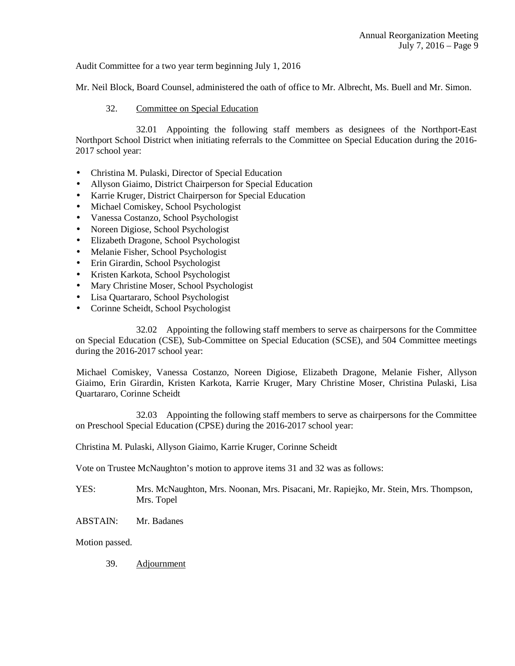Audit Committee for a two year term beginning July 1, 2016

Mr. Neil Block, Board Counsel, administered the oath of office to Mr. Albrecht, Ms. Buell and Mr. Simon.

# 32. Committee on Special Education

 32.01 Appointing the following staff members as designees of the Northport-East Northport School District when initiating referrals to the Committee on Special Education during the 2016- 2017 school year:

- Christina M. Pulaski, Director of Special Education
- Allyson Giaimo, District Chairperson for Special Education
- Karrie Kruger, District Chairperson for Special Education
- Michael Comiskey, School Psychologist
- Vanessa Costanzo, School Psychologist
- Noreen Digiose, School Psychologist
- Elizabeth Dragone, School Psychologist
- Melanie Fisher, School Psychologist
- Erin Girardin, School Psychologist
- Kristen Karkota, School Psychologist
- Mary Christine Moser, School Psychologist
- Lisa Quartararo, School Psychologist
- Corinne Scheidt, School Psychologist

 32.02 Appointing the following staff members to serve as chairpersons for the Committee on Special Education (CSE), Sub-Committee on Special Education (SCSE), and 504 Committee meetings during the 2016-2017 school year:

 Michael Comiskey, Vanessa Costanzo, Noreen Digiose, Elizabeth Dragone, Melanie Fisher, Allyson Giaimo, Erin Girardin, Kristen Karkota, Karrie Kruger, Mary Christine Moser, Christina Pulaski, Lisa Quartararo, Corinne Scheidt

 32.03 Appointing the following staff members to serve as chairpersons for the Committee on Preschool Special Education (CPSE) during the 2016-2017 school year:

Christina M. Pulaski, Allyson Giaimo, Karrie Kruger, Corinne Scheidt

Vote on Trustee McNaughton's motion to approve items 31 and 32 was as follows:

YES: Mrs. McNaughton, Mrs. Noonan, Mrs. Pisacani, Mr. Rapiejko, Mr. Stein, Mrs. Thompson, Mrs. Topel

ABSTAIN: Mr. Badanes

Motion passed.

39. Adjournment